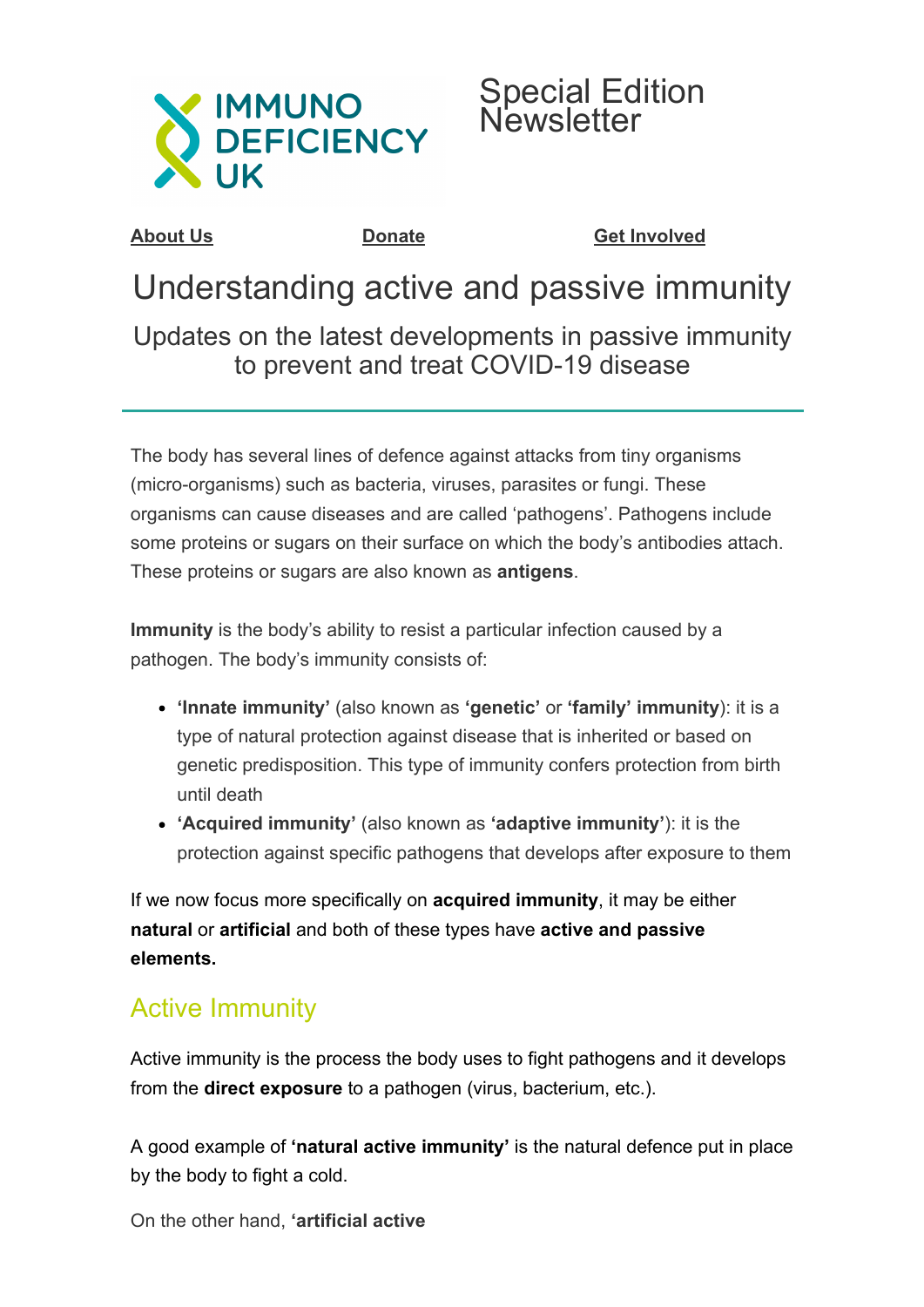



**[About Us](http://www.immunodeficiencyuk.org/aboutus) [Donate](http://www.immunodeficiencyuk.org/donate) [Get Involved](http://www.immunodeficiencyuk.org/getinvolved)**

# Understanding active and passive immunity

Updates on the latest developments in passive immunity to prevent and treat COVID-19 disease

The body has several lines of defence against attacks from tiny organisms (micro-organisms) such as bacteria, viruses, parasites or fungi. These organisms can cause diseases and are called 'pathogens'. Pathogens include some proteins or sugars on their surface on which the body's antibodies attach. These proteins or sugars are also known as **antigens**.

**Immunity** is the body's ability to resist a particular infection caused by a pathogen. The body's immunity consists of:

- **'Innate immunity'** (also known as **'genetic'** or **'family' immunity**): it is a type of natural protection against disease that is inherited or based on genetic predisposition. This type of immunity confers protection from birth until death
- **'Acquired immunity'** (also known as **'adaptive immunity'**): it is the protection against specific pathogens that develops after exposure to them

If we now focus more specifically on **acquired immunity**, it may be either **natural** or **artificial** and both of these types have **active and passive elements.**

## Active Immunity

Active immunity is the process the body uses to fight pathogens and it develops from the **direct exposure** to a pathogen (virus, bacterium, etc.).

A good example of **'natural active immunity'** is the natural defence put in place by the body to fight a cold.

On the other hand, **'artificial active**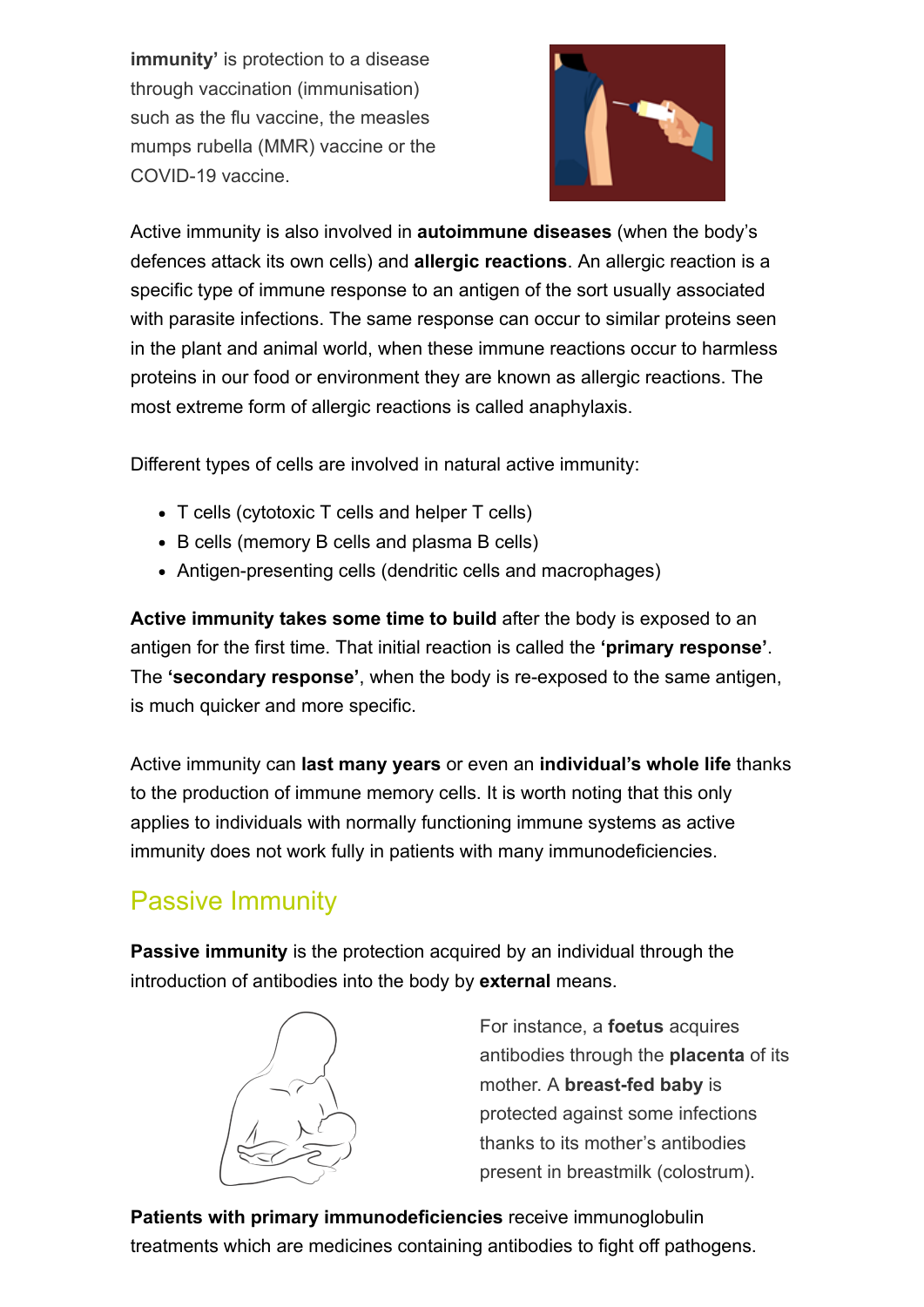**immunity'** is protection to a disease through vaccination (immunisation) such as the flu vaccine, the measles mumps rubella (MMR) vaccine or the COVID-19 vaccine.



Active immunity is also involved in **autoimmune diseases** (when the body's defences attack its own cells) and **allergic reactions**. An allergic reaction is a specific type of immune response to an antigen of the sort usually associated with parasite infections. The same response can occur to similar proteins seen in the plant and animal world, when these immune reactions occur to harmless proteins in our food or environment they are known as allergic reactions. The most extreme form of allergic reactions is called anaphylaxis.

Different types of cells are involved in natural active immunity:

- T cells (cytotoxic T cells and helper T cells)
- B cells (memory B cells and plasma B cells)
- Antigen-presenting cells (dendritic cells and macrophages)

**Active immunity takes some time to build** after the body is exposed to an antigen for the first time. That initial reaction is called the **'primary response'**. The **'secondary response'**, when the body is re-exposed to the same antigen, is much quicker and more specific.

Active immunity can **last many years** or even an **individual's whole life** thanks to the production of immune memory cells. It is worth noting that this only applies to individuals with normally functioning immune systems as active immunity does not work fully in patients with many immunodeficiencies.

## Passive Immunity

**Passive immunity** is the protection acquired by an individual through the introduction of antibodies into the body by **external** means.



For instance, a **foetus** acquires antibodies through the **placenta** of its mother. A **breast-fed baby** is protected against some infections thanks to its mother's antibodies present in breastmilk (colostrum).

**Patients with primary immunodeficiencies** receive immunoglobulin treatments which are medicines containing antibodies to fight off pathogens.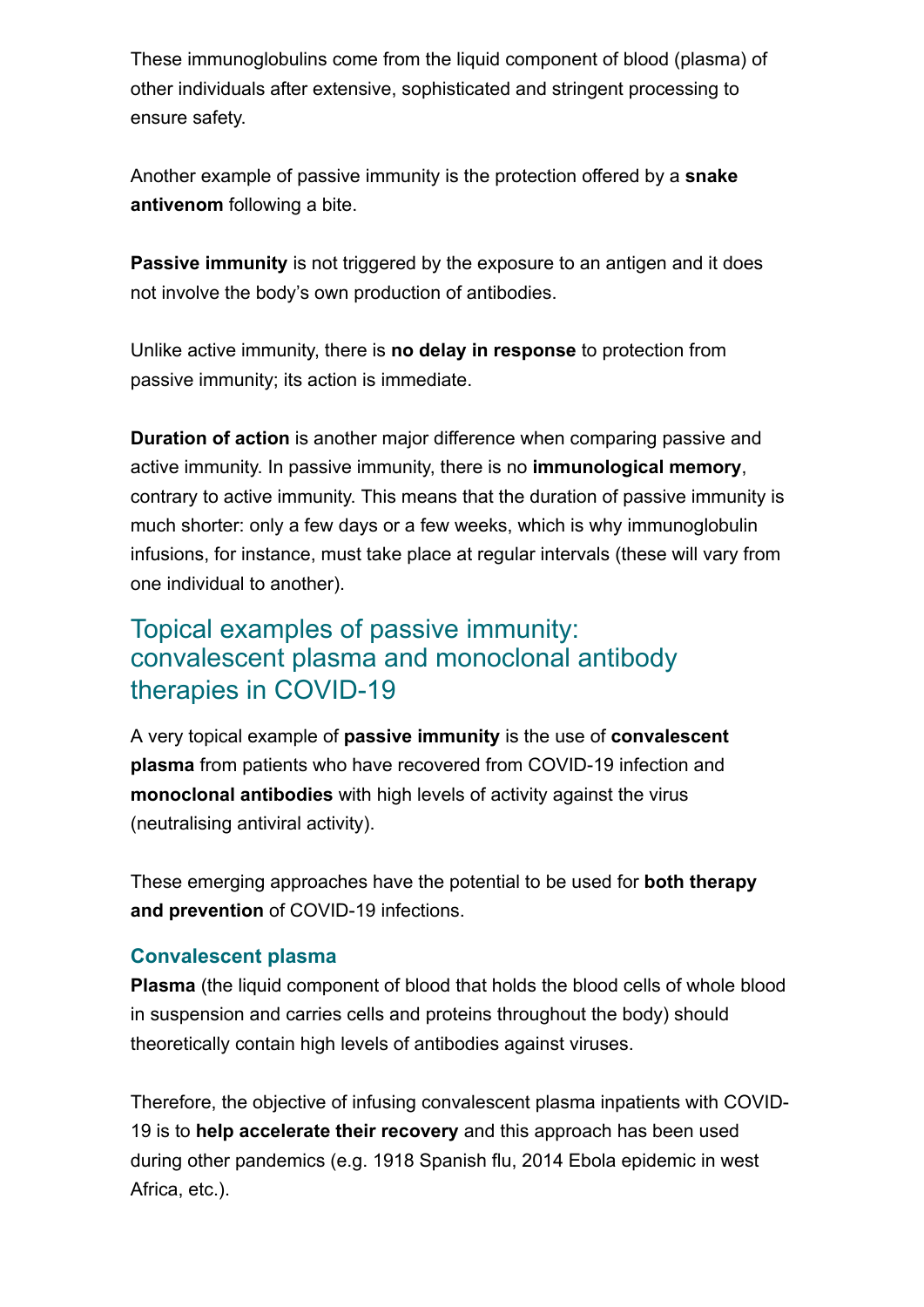These immunoglobulins come from the liquid component of blood (plasma) of other individuals after extensive, sophisticated and stringent processing to ensure safety.

Another example of passive immunity is the protection offered by a **snake antivenom** following a bite.

**Passive immunity** is not triggered by the exposure to an antigen and it does not involve the body's own production of antibodies.

Unlike active immunity, there is **no delay in response** to protection from passive immunity; its action is immediate.

**Duration of action** is another major difference when comparing passive and active immunity. In passive immunity, there is no **immunological memory**, contrary to active immunity. This means that the duration of passive immunity is much shorter: only a few days or a few weeks, which is why immunoglobulin infusions, for instance, must take place at regular intervals (these will vary from one individual to another).

## Topical examples of passive immunity: convalescent plasma and monoclonal antibody therapies in COVID-19

A very topical example of **passive immunity** is the use of **convalescent plasma** from patients who have recovered from COVID-19 infection and **monoclonal antibodies** with high levels of activity against the virus (neutralising antiviral activity).

These emerging approaches have the potential to be used for **both therapy and prevention** of COVID-19 infections.

### **Convalescent plasma**

**Plasma** (the liquid component of blood that holds the blood cells of whole blood in suspension and carries cells and proteins throughout the body) should theoretically contain high levels of antibodies against viruses.

Therefore, the objective of infusing convalescent plasma inpatients with COVID-19 is to **help accelerate their recovery** and this approach has been used during other pandemics (e.g. 1918 Spanish flu, 2014 Ebola epidemic in west Africa, etc.).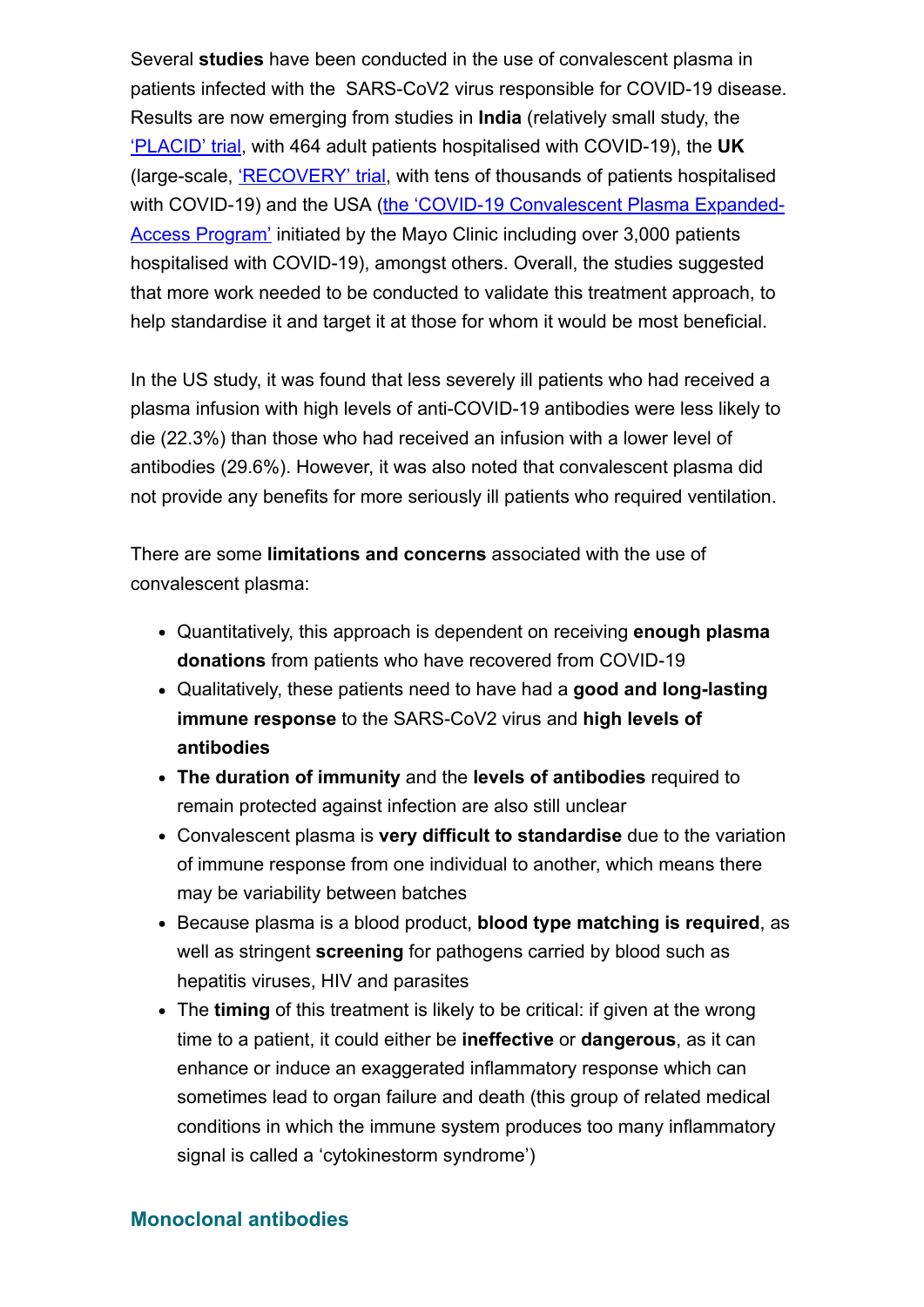Several **studies** have been conducted in the use of convalescent plasma in patients infected with the SARS-CoV2 virus responsible for COVID-19 disease. Results are now emerging from studies in **India** (relatively small study, the ['PLACID' trial,](https://www.bmj.com/content/371/bmj.m3939) with 464 adult patients hospitalised with COVID-19), the **UK** (large-scale, ['RECOVERY' trial,](https://www.recoverytrial.net/) with tens of thousands of patients hospitalised [with COVID-19\) and the USA \(the 'COVID-19 Convalescent Plasma Expanded-](https://www.nejm.org/doi/pdf/10.1056/NEJMoa2031893?articleTools=true)Access Program' initiated by the Mayo Clinic including over 3,000 patients hospitalised with COVID-19), amongst others. Overall, the studies suggested that more work needed to be conducted to validate this treatment approach, to help standardise it and target it at those for whom it would be most beneficial.

In the US study, it was found that less severely ill patients who had received a plasma infusion with high levels of anti-COVID-19 antibodies were less likely to die (22.3%) than those who had received an infusion with a lower level of antibodies (29.6%). However, it was also noted that convalescent plasma did not provide any benefits for more seriously ill patients who required ventilation.

There are some **limitations and concerns** associated with the use of convalescent plasma:

- Quantitatively, this approach is dependent on receiving **enough plasma donations** from patients who have recovered from COVID-19
- Qualitatively, these patients need to have had a **good and long-lasting immune response** to the SARS-CoV2 virus and **high levels of antibodies**
- **The duration of immunity** and the **levels of antibodies** required to remain protected against infection are also still unclear
- Convalescent plasma is **very difficult to standardise** due to the variation of immune response from one individual to another, which means there may be variability between batches
- Because plasma is a blood product, **blood type matching is required**, as well as stringent **screening** for pathogens carried by blood such as hepatitis viruses, HIV and parasites
- The **timing** of this treatment is likely to be critical: if given at the wrong time to a patient, it could either be **ineffective** or **dangerous**, as it can enhance or induce an exaggerated inflammatory response which can sometimes lead to organ failure and death (this group of related medical conditions in which the immune system produces too many inflammatory signal is called a 'cytokinestorm syndrome')

#### **Monoclonal antibodies**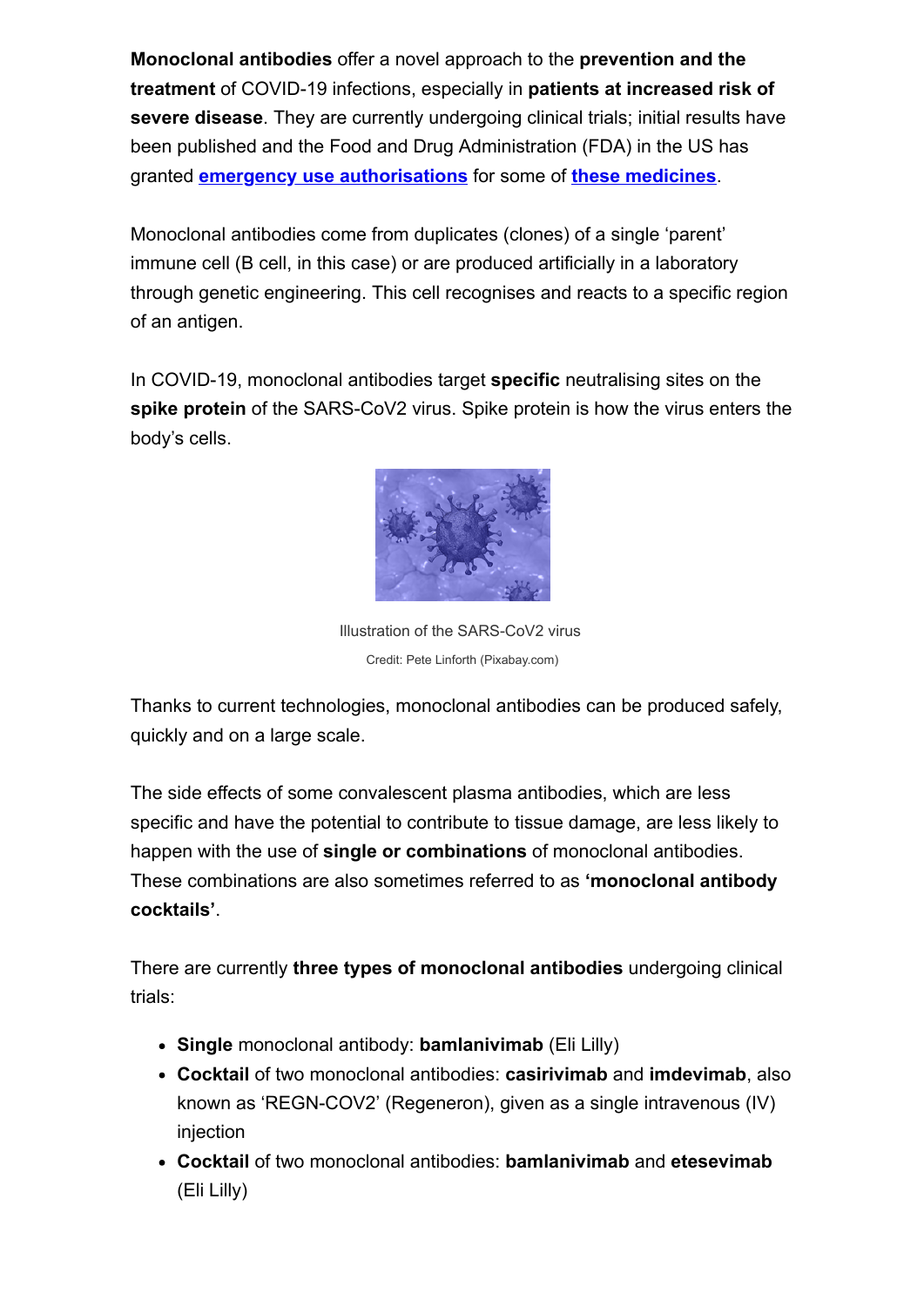**Monoclonal antibodies** offer a novel approach to the **prevention and the treatment** of COVID-19 infections, especially in **patients at increased risk of severe disease**. They are currently undergoing clinical trials; initial results have been published and the Food and Drug Administration (FDA) in the US has granted **emergency use authorisations** for some of **these medicines**.

Monoclonal antibodies come from duplicates (clones) of a single 'parent' immune cell (B cell, in this case) or are produced artificially in a laboratory through genetic engineering. This cell recognises and reacts to a specific region of an antigen.

In COVID-19, monoclonal antibodies target **specific** neutralising sites on the **spike protein** of the SARS-CoV2 virus. Spike protein is how the virus enters the body's cells.



Illustration of the SARS-CoV2 virus Credit: Pete Linforth (Pixabay.com)

Thanks to current technologies, monoclonal antibodies can be produced safely, quickly and on a large scale.

The side effects of some convalescent plasma antibodies, which are less specific and have the potential to contribute to tissue damage, are less likely to happen with the use of **single or combinations** of monoclonal antibodies. These combinations are also sometimes referred to as **'monoclonal antibody cocktails'**.

There are currently **three types of monoclonal antibodies** undergoing clinical trials:

- **Single** monoclonal antibody: **bamlanivimab** (Eli Lilly)
- **Cocktail** of two monoclonal antibodies: **casirivimab** and **imdevimab**, also known as 'REGN-COV2' (Regeneron), given as a single intravenous (IV) injection
- **Cocktail** of two monoclonal antibodies: **bamlanivimab** and **etesevimab** (Eli Lilly)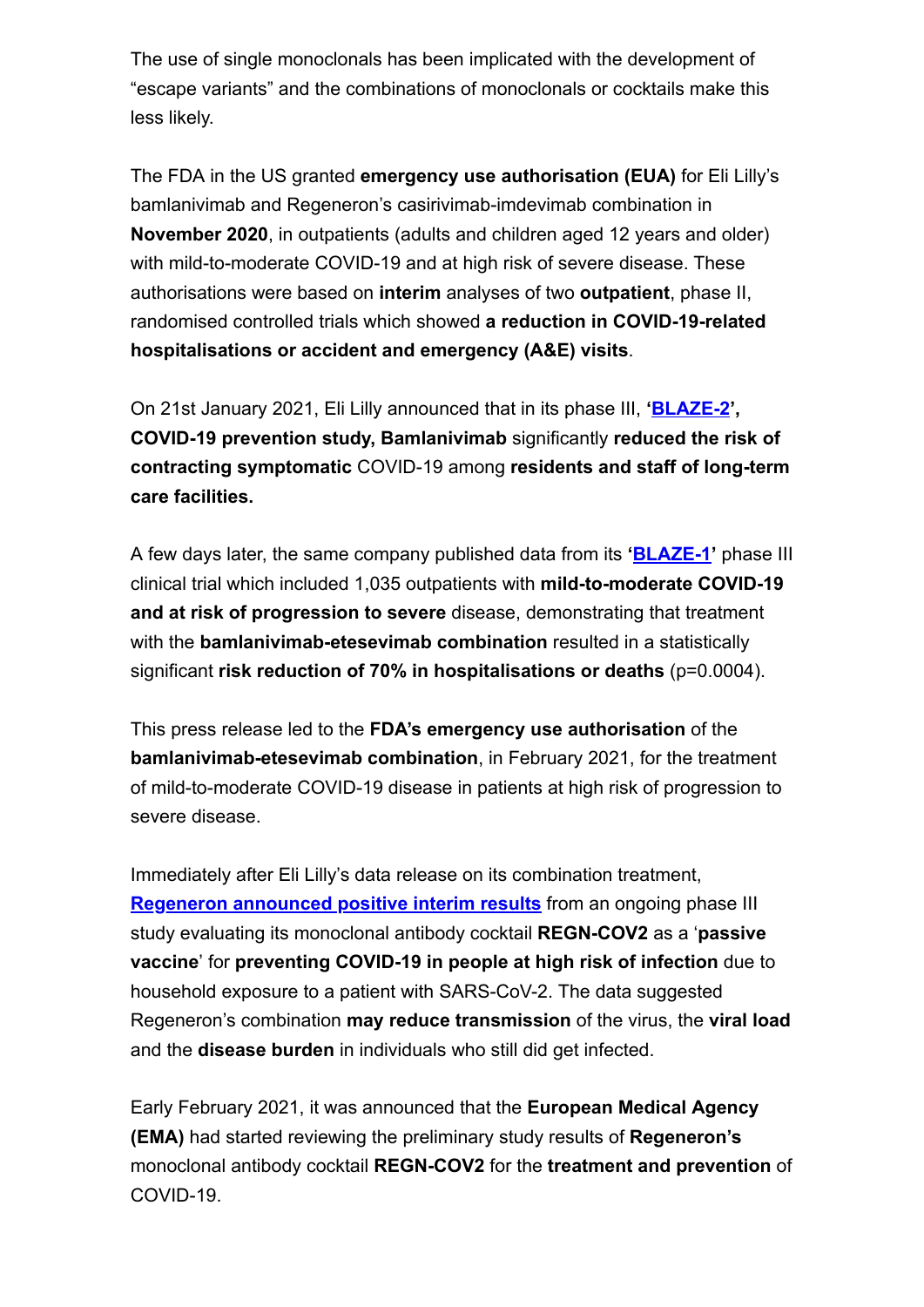The use of single monoclonals has been implicated with the development of "escape variants" and the combinations of monoclonals or cocktails make this less likely.

The FDA in the US granted **emergency use authorisation (EUA)** for Eli Lilly's bamlanivimab and Regeneron's casirivimab-imdevimab combination in **November 2020**, in outpatients (adults and children aged 12 years and older) with mild-to-moderate COVID-19 and at high risk of severe disease. These authorisations were based on **interim** analyses of two **outpatient**, phase II, randomised controlled trials which showed **a reduction in COVID-19-related hospitalisations or accident and emergency (A&E) visits**.

On 21st January 2021, Eli Lilly announced that in its phase III, **'[BLAZE-2](https://investor.lilly.com/news-releases/news-release-details/lillys-neutralizing-antibody-bamlanivimab-ly-cov555-prevented)', COVID-19 prevention study, Bamlanivimab** significantly **reduced the risk of contracting symptomatic** COVID-19 among **residents and staff of long-term care facilities.** 

A few days later, the same company published data from its **'[BLAZE-1](https://investor.lilly.com/news-releases/news-release-details/new-data-show-treatment-lillys-neutralizing-antibodies)'** phase III clinical trial which included 1,035 outpatients with **mild-to-moderate COVID-19 and at risk of progression to severe** disease, demonstrating that treatment with the **bamlanivimab-etesevimab combination** resulted in a statistically significant **risk reduction of 70% in hospitalisations or deaths** (p=0.0004).

This press release led to the **FDA's emergency use authorisation** of the **bamlanivimab-etesevimab combination**, in February 2021, for the treatment of mild-to-moderate COVID-19 disease in patients at high risk of progression to severe disease.

Immediately after Eli Lilly's data release on its combination treatment, **[Regeneron announced positive interim results](https://newsroom.regeneron.com/news-releases/news-release-details/regeneron-reports-positive-interim-data-regen-covtm-antibody)** from an ongoing phase III study evaluating its monoclonal antibody cocktail **REGN-COV2** as a '**passive vaccine**' for **preventing COVID-19 in people at high risk of infection** due to household exposure to a patient with SARS-CoV-2. The data suggested Regeneron's combination **may reduce transmission** of the virus, the **viral load** and the **disease burden** in individuals who still did get infected.

Early February 2021, it was announced that the **European Medical Agency (EMA)** had started reviewing the preliminary study results of **Regeneron's** monoclonal antibody cocktail **REGN-COV2** for the **treatment and prevention** of COVID-19.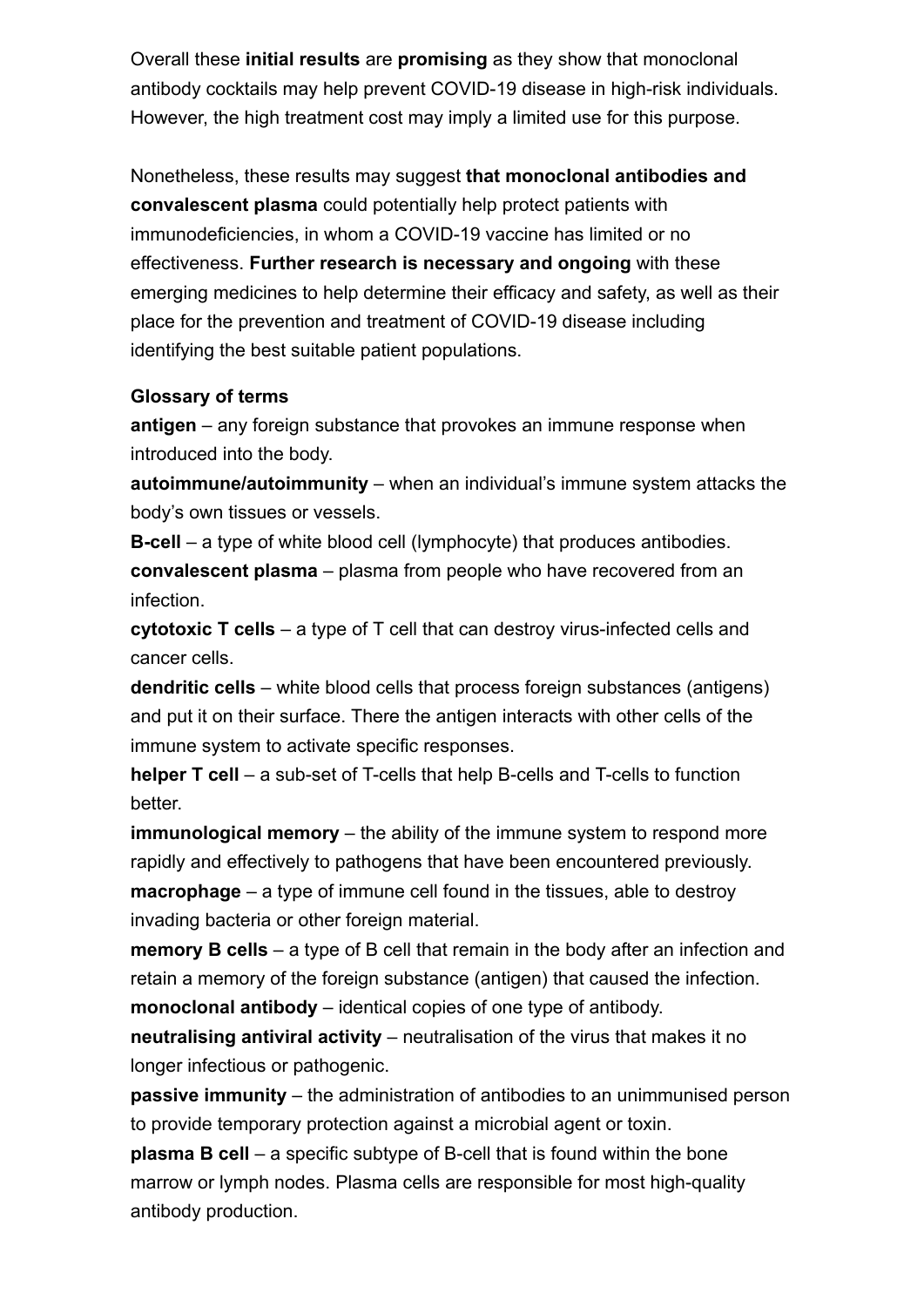Overall these **initial results** are **promising** as they show that monoclonal antibody cocktails may help prevent COVID-19 disease in high-risk individuals. However, the high treatment cost may imply a limited use for this purpose.

Nonetheless, these results may suggest **that monoclonal antibodies and convalescent plasma** could potentially help protect patients with immunodeficiencies, in whom a COVID-19 vaccine has limited or no effectiveness. **Further research is necessary and ongoing** with these emerging medicines to help determine their efficacy and safety, as well as their place for the prevention and treatment of COVID-19 disease including identifying the best suitable patient populations.

#### **Glossary of terms**

**antigen** – any foreign substance that provokes an immune response when introduced into the body.

**autoimmune/autoimmunity** – when an individual's immune system attacks the body's own tissues or vessels.

**B-cell** – a type of white blood cell (lymphocyte) that produces antibodies. **convalescent plasma** – plasma from people who have recovered from an infection.

**cytotoxic T cells** – a type of T cell that can destroy virus-infected cells and cancer cells.

**dendritic cells** – white blood cells that process foreign substances (antigens) and put it on their surface. There the antigen interacts with other cells of the immune system to activate specific responses.

**helper T cell** – a sub-set of T-cells that help B-cells and T-cells to function better.

**immunological memory** – the ability of the immune system to respond more rapidly and effectively to pathogens that have been encountered previously. **macrophage** – a type of immune cell found in the tissues, able to destroy invading bacteria or other foreign material.

**memory B cells** – a type of B cell that remain in the body after an infection and retain a memory of the foreign substance (antigen) that caused the infection. **monoclonal antibody** – identical copies of one type of antibody.

**neutralising antiviral activity** – neutralisation of the virus that makes it no longer infectious or pathogenic.

**passive immunity** – the administration of antibodies to an unimmunised person to provide temporary protection against a microbial agent or toxin.

**plasma B cell** – a specific subtype of B-cell that is found within the bone marrow or lymph nodes. Plasma cells are responsible for most high-quality antibody production.